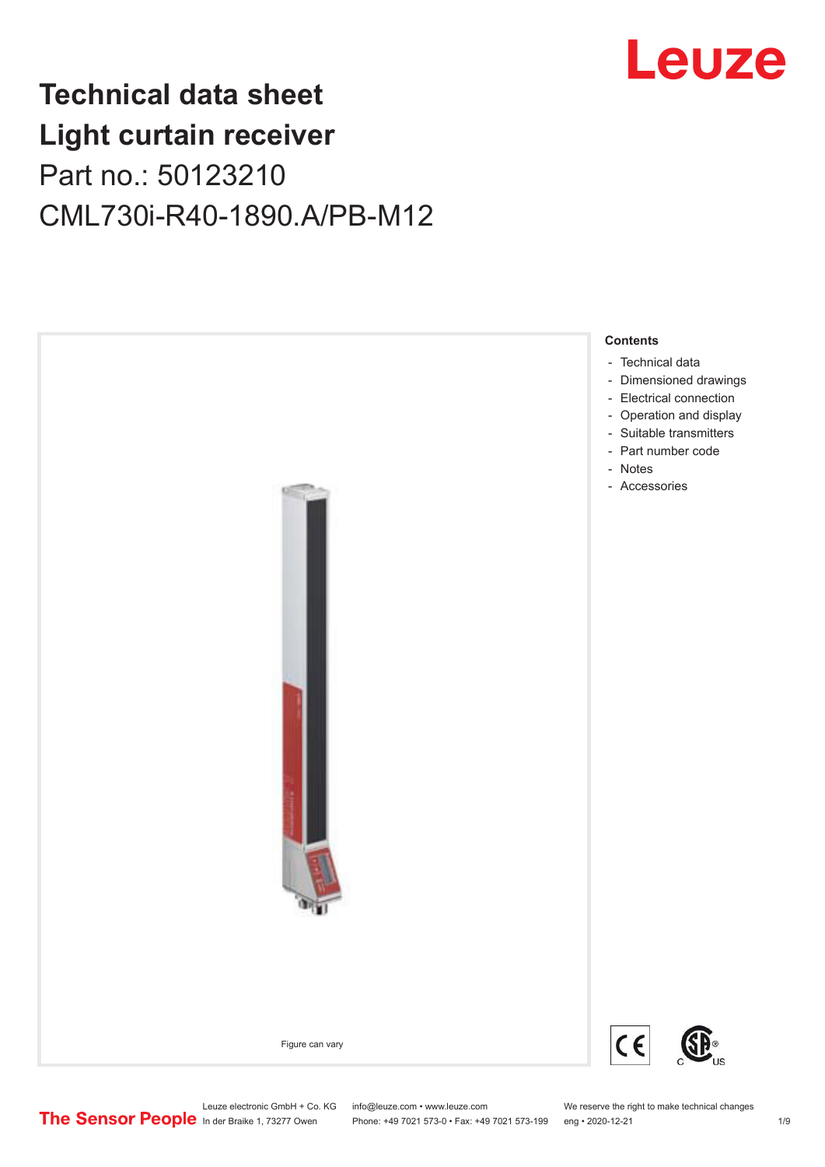

# **Technical data sheet Light curtain receiver** Part no.: 50123210 CML730i-R40-1890.A/PB-M12



Leuze electronic GmbH + Co. KG info@leuze.com • www.leuze.com We reserve the right to make technical changes<br>
The Sensor People in der Braike 1, 73277 Owen Phone: +49 7021 573-0 • Fax: +49 7021 573-199 eng • 2020-12-21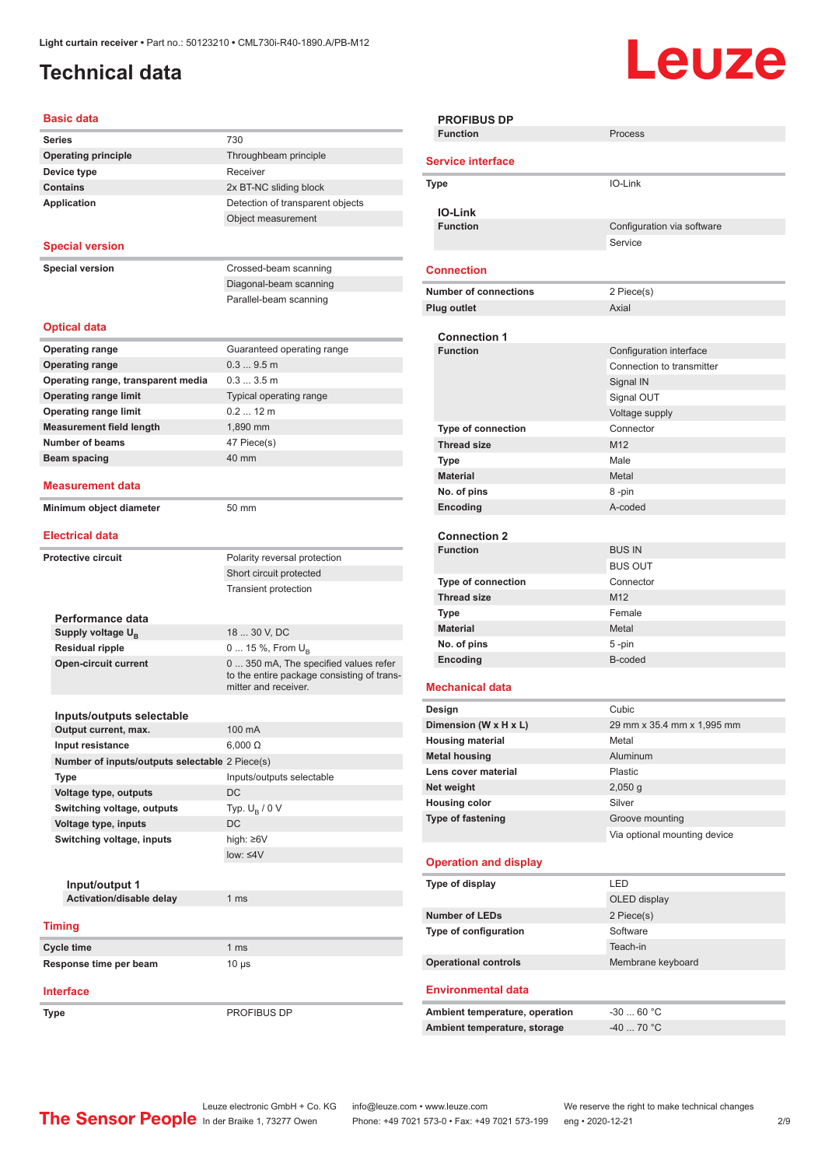# <span id="page-1-0"></span>**Technical data**

# **Leuze**

### **Basic data**

| Dasit uata                                     |                                            |
|------------------------------------------------|--------------------------------------------|
| <b>Series</b>                                  | 730                                        |
| <b>Operating principle</b>                     | Throughbeam principle                      |
| Device type                                    | Receiver                                   |
| <b>Contains</b>                                | 2x BT-NC sliding block                     |
| <b>Application</b>                             | Detection of transparent objects           |
|                                                | Object measurement                         |
|                                                |                                            |
| <b>Special version</b>                         |                                            |
| <b>Special version</b>                         | Crossed-beam scanning                      |
|                                                | Diagonal-beam scanning                     |
|                                                | Parallel-beam scanning                     |
|                                                |                                            |
| <b>Optical data</b>                            |                                            |
| <b>Operating range</b>                         | Guaranteed operating range                 |
| <b>Operating range</b>                         | 0.39.5m                                    |
| Operating range, transparent media             | 0.33.5m                                    |
| <b>Operating range limit</b>                   | Typical operating range                    |
| <b>Operating range limit</b>                   | $0.212$ m                                  |
| <b>Measurement field length</b>                | 1.890 mm                                   |
| <b>Number of beams</b>                         |                                            |
|                                                | 47 Piece(s)                                |
| Beam spacing                                   | 40 mm                                      |
| Measurement data                               |                                            |
| Minimum object diameter                        | 50 mm                                      |
|                                                |                                            |
| <b>Electrical data</b>                         |                                            |
| <b>Protective circuit</b>                      | Polarity reversal protection               |
|                                                | Short circuit protected                    |
|                                                |                                            |
|                                                | <b>Transient protection</b>                |
| Performance data                               |                                            |
| Supply voltage $U_{B}$                         | 18  30 V, DC                               |
| <b>Residual ripple</b>                         | 0  15 %, From $U_{\rm B}$                  |
| <b>Open-circuit current</b>                    | 0  350 mA, The specified values refer      |
|                                                | to the entire package consisting of trans- |
|                                                | mitter and receiver.                       |
|                                                |                                            |
| Inputs/outputs selectable                      | 100 mA                                     |
| Output current, max.                           |                                            |
| <b>Input resistance</b>                        | $6,000 \Omega$                             |
| Number of inputs/outputs selectable 2 Piece(s) |                                            |
| Type                                           | Inputs/outputs selectable                  |
| Voltage type, outputs                          | DC                                         |
| Switching voltage, outputs                     | Typ. $U_R / 0 V$                           |
| Voltage type, inputs                           | DC                                         |
| Switching voltage, inputs                      | high: ≥6V                                  |
|                                                | $low: 4V$                                  |
|                                                |                                            |
| Input/output 1                                 |                                            |
| Activation/disable delay                       | 1 <sub>ms</sub>                            |
| <b>Timing</b>                                  |                                            |
| Cycle time                                     | 1 <sub>ms</sub>                            |
| Response time per beam                         | $10 \mu s$                                 |
|                                                |                                            |
| <b>Interface</b>                               |                                            |
| Type                                           | PROFIBUS DP                                |
|                                                |                                            |

| <b>PROFIBUS DP</b>           |                                |                              |
|------------------------------|--------------------------------|------------------------------|
| <b>Function</b>              |                                | Process                      |
| <b>Service interface</b>     |                                |                              |
| Type                         |                                | IO-Link                      |
|                              |                                |                              |
| <b>IO-Link</b>               |                                |                              |
| <b>Function</b>              |                                | Configuration via software   |
|                              |                                | Service                      |
| <b>Connection</b>            |                                |                              |
| <b>Number of connections</b> |                                | 2 Piece(s)                   |
| <b>Plug outlet</b>           |                                | Axial                        |
|                              |                                |                              |
| <b>Connection 1</b>          |                                |                              |
| <b>Function</b>              |                                | Configuration interface      |
|                              |                                | Connection to transmitter    |
|                              |                                | Signal IN                    |
|                              |                                | Signal OUT                   |
|                              |                                | Voltage supply               |
| <b>Type of connection</b>    |                                | Connector                    |
| <b>Thread size</b>           |                                | M <sub>12</sub>              |
| <b>Type</b>                  |                                | Male                         |
| <b>Material</b>              |                                | Metal                        |
| No. of pins                  |                                | 8-pin                        |
| Encoding                     |                                | A-coded                      |
|                              |                                |                              |
| <b>Connection 2</b>          |                                |                              |
| <b>Function</b>              |                                | <b>BUS IN</b>                |
|                              |                                | <b>BUS OUT</b>               |
| <b>Type of connection</b>    |                                | Connector                    |
| <b>Thread size</b>           |                                | M12                          |
| <b>Type</b>                  |                                | Female                       |
| <b>Material</b>              |                                | Metal                        |
| No. of pins                  |                                | 5-pin                        |
| Encoding                     |                                | B-coded                      |
|                              |                                |                              |
| <b>Mechanical data</b>       |                                |                              |
| Design                       |                                | Cubic                        |
| Dimension (W x H x L)        |                                | 29 mm x 35.4 mm x 1,995 mm   |
| <b>Housing material</b>      |                                | Metal                        |
| <b>Metal housing</b>         |                                | Aluminum                     |
| Lens cover material          |                                | Plastic                      |
| Net weight                   |                                | $2,050$ g                    |
| <b>Housing color</b>         |                                | Silver                       |
| Type of fastening            |                                | Groove mounting              |
|                              |                                | Via optional mounting device |
|                              |                                |                              |
| <b>Operation and display</b> |                                |                              |
| Type of display              |                                | LED                          |
|                              |                                | OLED display                 |
| <b>Number of LEDs</b>        |                                | 2 Piece(s)                   |
| Type of configuration        |                                | Software                     |
|                              |                                | Teach-in                     |
| <b>Operational controls</b>  |                                | Membrane keyboard            |
|                              |                                |                              |
| <b>Environmental data</b>    |                                |                              |
|                              | Ambient temperature, operation | -30  60 °C                   |
|                              | Ambient temperature, storage   | $-40$ 70 °C                  |
|                              |                                |                              |
|                              |                                |                              |

Leuze electronic GmbH + Co. KG info@leuze.com • www.leuze.com We reserve the right to make technical changes In der Braike 1, 73277 Owen Phone: +49 7021 573-0 • Fax: +49 7021 573-199 eng • 2020-12-21 299 Phone: +49 7021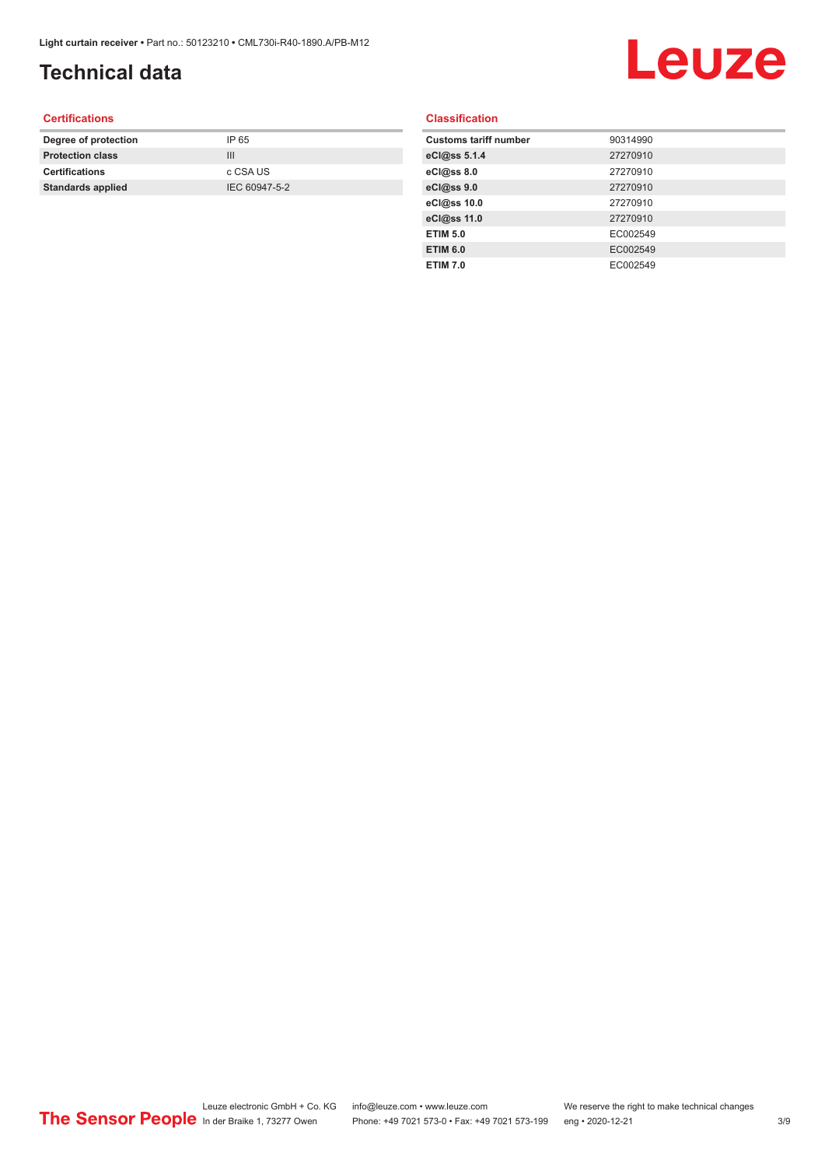# **Technical data**

# Leuze

### **Certifications**

| Degree of protection     | IP 65         |
|--------------------------|---------------|
| <b>Protection class</b>  | Ш             |
| <b>Certifications</b>    | c CSA US      |
| <b>Standards applied</b> | IEC 60947-5-2 |
|                          |               |

### **Classification**

| <b>Customs tariff number</b> | 90314990 |
|------------------------------|----------|
| eCl@ss 5.1.4                 | 27270910 |
| eCl@ss 8.0                   | 27270910 |
| eCl@ss 9.0                   | 27270910 |
| eCl@ss 10.0                  | 27270910 |
| eCl@ss 11.0                  | 27270910 |
| <b>ETIM 5.0</b>              | EC002549 |
| <b>ETIM 6.0</b>              | EC002549 |
| <b>ETIM 7.0</b>              | EC002549 |
|                              |          |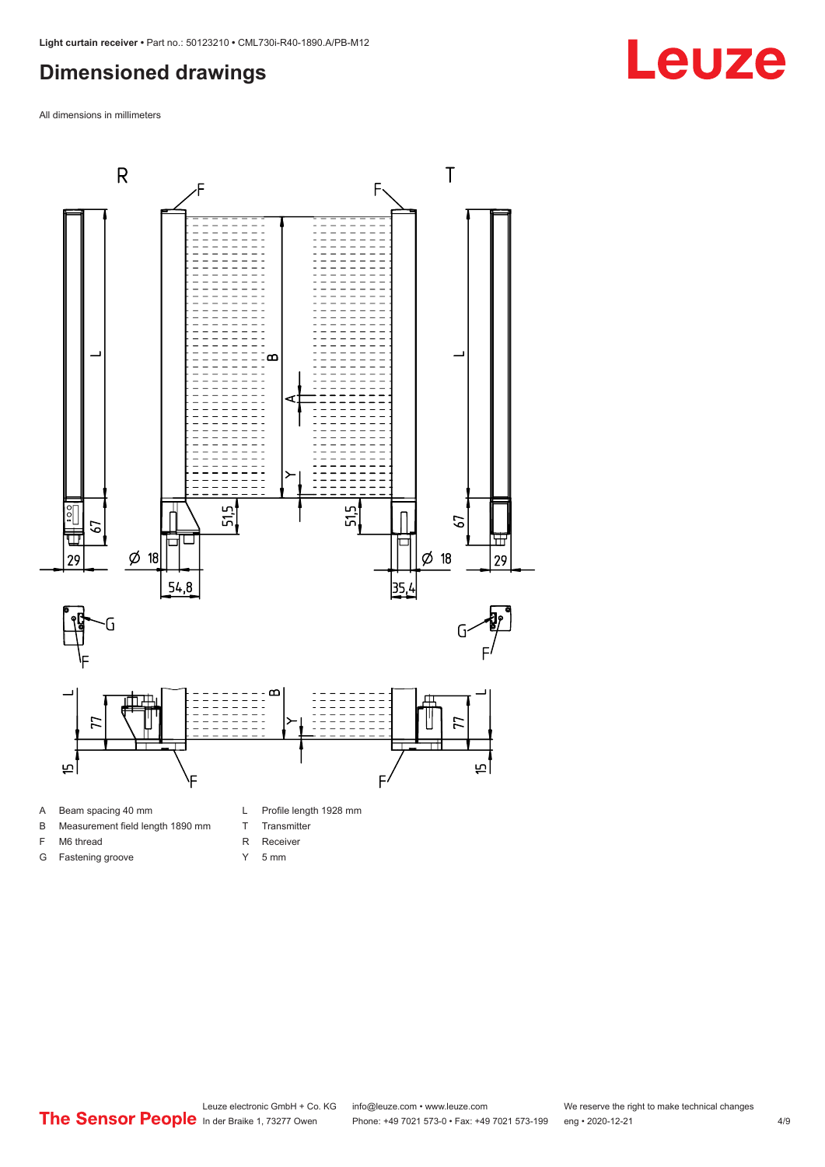### <span id="page-3-0"></span>**Dimensioned drawings**

All dimensions in millimeters



- 
- B Measurement field length 1890 mm
- F M6 thread

G Fastening groove

- 
- R Receiver
- Y 5 mm

T Transmitter

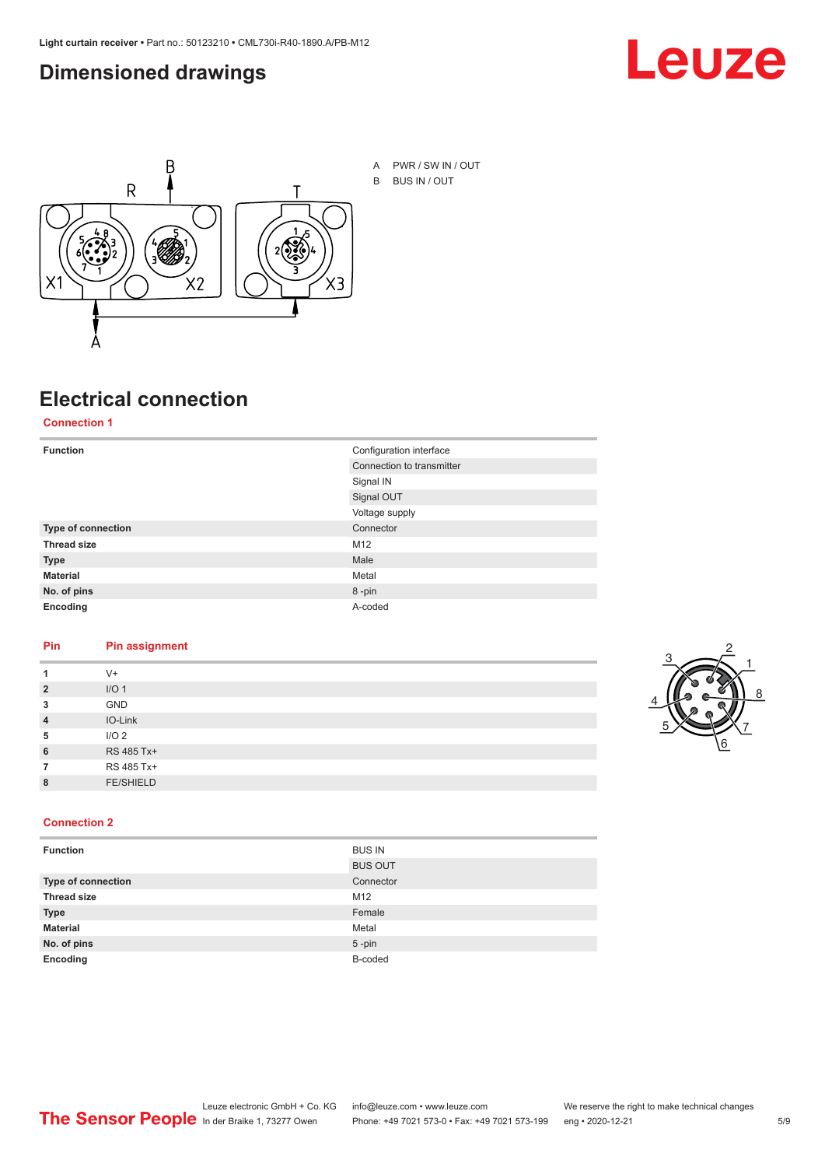### <span id="page-4-0"></span>**Dimensioned drawings**





## **Electrical connection**

**Connection 1**

| <b>Function</b>    | Configuration interface   |
|--------------------|---------------------------|
|                    | Connection to transmitter |
|                    | Signal IN                 |
|                    | Signal OUT                |
|                    | Voltage supply            |
| Type of connection | Connector                 |
| <b>Thread size</b> | M12                       |
| <b>Type</b>        | Male                      |
| <b>Material</b>    | Metal                     |
| No. of pins        | 8-pin                     |
| Encoding           | A-coded                   |

### **Pin Pin assignment**

|                | $V +$            |  |  |
|----------------|------------------|--|--|
| $\overline{2}$ | I/O <sub>1</sub> |  |  |
| 3              | <b>GND</b>       |  |  |
| $\overline{4}$ | IO-Link          |  |  |
| 5              | I/O <sub>2</sub> |  |  |
| 6              | RS 485 Tx+       |  |  |
|                | RS 485 Tx+       |  |  |
| 8              | <b>FE/SHIELD</b> |  |  |
|                |                  |  |  |



### **Connection 2**

| <b>Function</b>    | <b>BUS IN</b>  |
|--------------------|----------------|
|                    | <b>BUS OUT</b> |
| Type of connection | Connector      |
| <b>Thread size</b> | M12            |
| <b>Type</b>        | Female         |
| <b>Material</b>    | Metal          |
| No. of pins        | $5$ -pin       |
| Encoding           | B-coded        |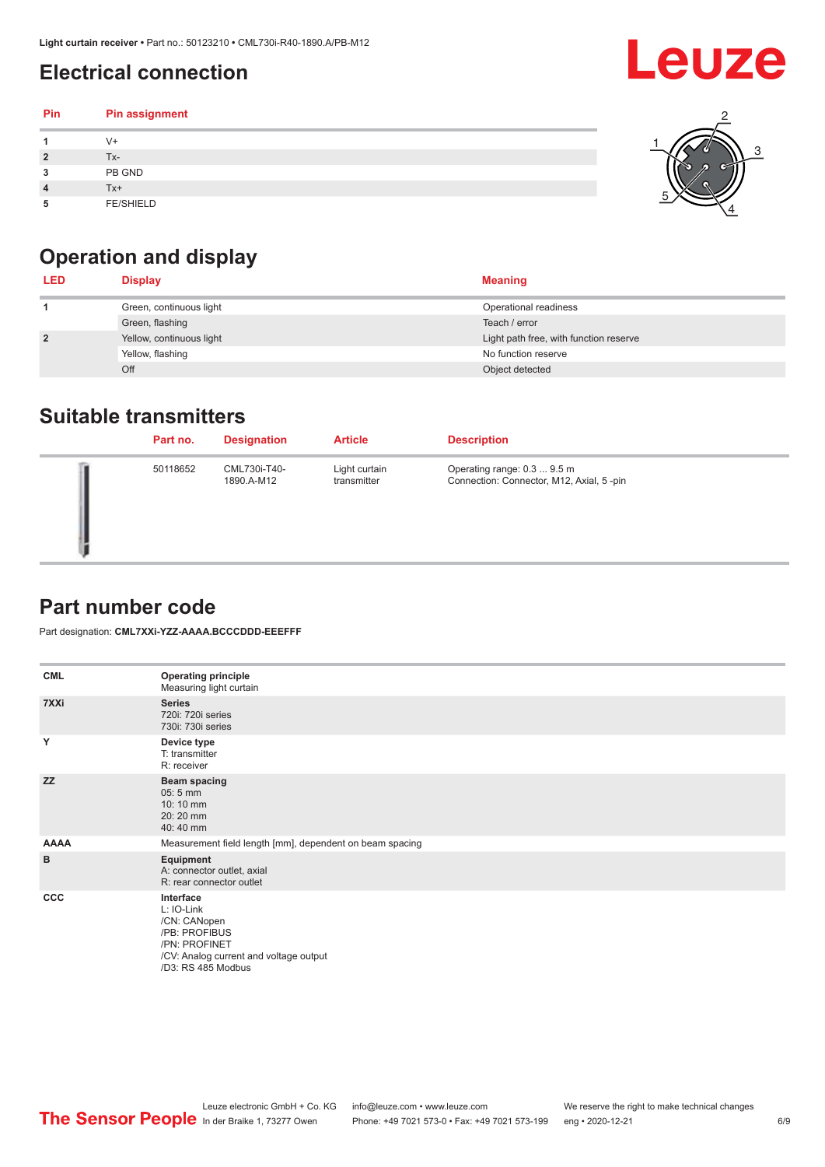# <span id="page-5-0"></span>**Electrical connection**

| Pin | Pin assignment   |  |
|-----|------------------|--|
|     | $V +$            |  |
| ຳ   | Tx-              |  |
| 3   | PB GND           |  |
|     | $Tx+$            |  |
| 5   | <b>FE/SHIELD</b> |  |

# **Operation and display**

| <b>LED</b>     | <b>Display</b>           | <b>Meaning</b>                         |
|----------------|--------------------------|----------------------------------------|
|                | Green, continuous light  | Operational readiness                  |
|                | Green, flashing          | Teach / error                          |
| $\overline{2}$ | Yellow, continuous light | Light path free, with function reserve |
|                | Yellow, flashing         | No function reserve                    |
|                | Off                      | Object detected                        |

### **Suitable transmitters**

| Part no. | <b>Designation</b>         | <b>Article</b>               | <b>Description</b>                                                      |
|----------|----------------------------|------------------------------|-------------------------------------------------------------------------|
| 50118652 | CML730i-T40-<br>1890.A-M12 | Light curtain<br>transmitter | Operating range: 0.3  9.5 m<br>Connection: Connector, M12, Axial, 5-pin |

### **Part number code**

Part designation: **CML7XXi-YZZ-AAAA.BCCCDDD-EEEFFF**

| <b>CML</b>  | <b>Operating principle</b><br>Measuring light curtain                                                                                     |
|-------------|-------------------------------------------------------------------------------------------------------------------------------------------|
| 7XXi        | <b>Series</b><br>720i: 720i series<br>730i: 730i series                                                                                   |
| Y           | Device type<br>T: transmitter<br>R: receiver                                                                                              |
| <b>ZZ</b>   | <b>Beam spacing</b><br>$05:5$ mm<br>10:10 mm<br>20:20 mm<br>40:40 mm                                                                      |
| <b>AAAA</b> | Measurement field length [mm], dependent on beam spacing                                                                                  |
| B           | Equipment<br>A: connector outlet, axial<br>R: rear connector outlet                                                                       |
| CCC         | Interface<br>L: IO-Link<br>/CN: CANopen<br>/PB: PROFIBUS<br>/PN: PROFINET<br>/CV: Analog current and voltage output<br>/D3: RS 485 Modbus |

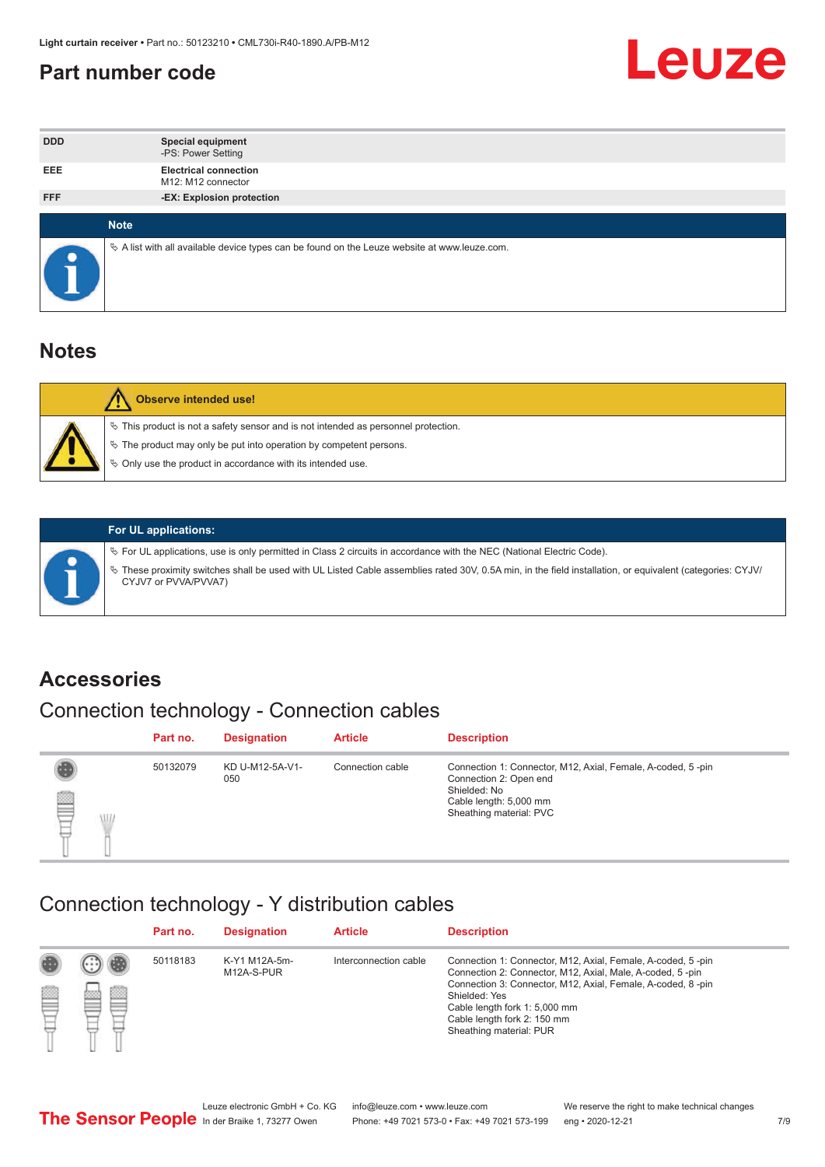### <span id="page-6-0"></span>**Part number code**



| <b>DDD</b> | <b>Special equipment</b><br>-PS: Power Setting                                                    |
|------------|---------------------------------------------------------------------------------------------------|
| <b>EEE</b> | <b>Electrical connection</b><br>M12: M12 connector                                                |
| <b>FFF</b> | -EX: Explosion protection                                                                         |
|            | <b>Note</b>                                                                                       |
| $\bullet$  | Vector A list with all available device types can be found on the Leuze website at www.leuze.com. |

### **Notes**

| Observe intended use!                                                                                                                                                                                                            |
|----------------------------------------------------------------------------------------------------------------------------------------------------------------------------------------------------------------------------------|
| $\%$ This product is not a safety sensor and is not intended as personnel protection.<br>$\%$ The product may only be put into operation by competent persons.<br>$\%$ Only use the product in accordance with its intended use. |
|                                                                                                                                                                                                                                  |



### **For UL applications:**

ª For UL applications, use is only permitted in Class 2 circuits in accordance with the NEC (National Electric Code). ª These proximity switches shall be used with UL Listed Cable assemblies rated 30V, 0.5A min, in the field installation, or equivalent (categories: CYJV/ CYJV7 or PVVA/PVVA7)

### **Accessories**

# Connection technology - Connection cables

|        | Part no. | <b>Designation</b>     | <b>Article</b>   | <b>Description</b>                                                                                                                                         |
|--------|----------|------------------------|------------------|------------------------------------------------------------------------------------------------------------------------------------------------------------|
| 2<br>W | 50132079 | KD U-M12-5A-V1-<br>050 | Connection cable | Connection 1: Connector, M12, Axial, Female, A-coded, 5-pin<br>Connection 2: Open end<br>Shielded: No<br>Cable length: 5,000 mm<br>Sheathing material: PVC |

### Connection technology - Y distribution cables

|   |   | Part no. | <b>Designation</b>          | <b>Article</b>        | <b>Description</b>                                                                                                                                                                                                                                                                                  |
|---|---|----------|-----------------------------|-----------------------|-----------------------------------------------------------------------------------------------------------------------------------------------------------------------------------------------------------------------------------------------------------------------------------------------------|
| Ø | ø | 50118183 | K-Y1 M12A-5m-<br>M12A-S-PUR | Interconnection cable | Connection 1: Connector, M12, Axial, Female, A-coded, 5-pin<br>Connection 2: Connector, M12, Axial, Male, A-coded, 5-pin<br>Connection 3: Connector, M12, Axial, Female, A-coded, 8-pin<br>Shielded: Yes<br>Cable length fork 1: 5,000 mm<br>Cable length fork 2: 150 mm<br>Sheathing material: PUR |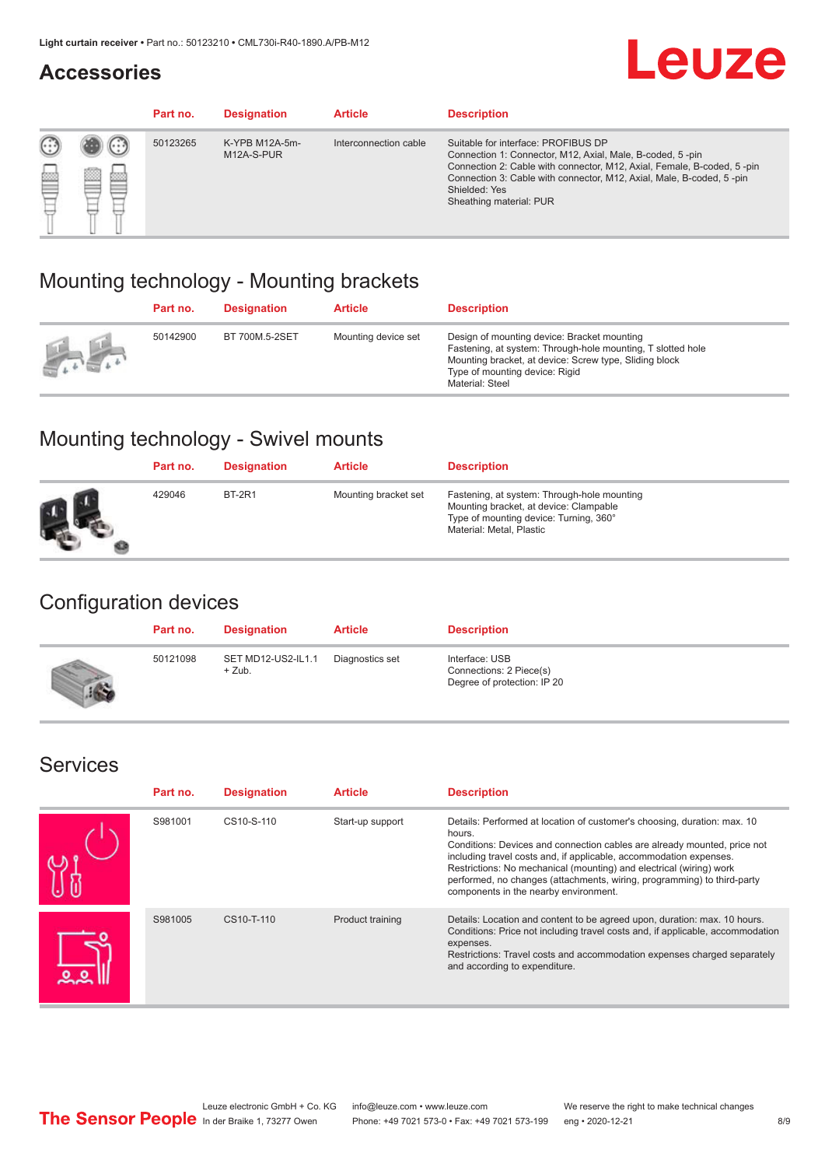### **Accessories**

# **Leuze**

|   |        | Part no. | <b>Designation</b>           | <b>Article</b>        | <b>Description</b>                                                                                                                                                                                                                                                                             |
|---|--------|----------|------------------------------|-----------------------|------------------------------------------------------------------------------------------------------------------------------------------------------------------------------------------------------------------------------------------------------------------------------------------------|
| 您 | ×<br>一 | 50123265 | K-YPB M12A-5m-<br>M12A-S-PUR | Interconnection cable | Suitable for interface: PROFIBUS DP<br>Connection 1: Connector, M12, Axial, Male, B-coded, 5-pin<br>Connection 2: Cable with connector, M12, Axial, Female, B-coded, 5-pin<br>Connection 3: Cable with connector, M12, Axial, Male, B-coded, 5-pin<br>Shielded: Yes<br>Sheathing material: PUR |

### Mounting technology - Mounting brackets

|                                                 | Part no. | <b>Designation</b> | <b>Article</b>      | <b>Description</b>                                                                                                                                                                                                        |
|-------------------------------------------------|----------|--------------------|---------------------|---------------------------------------------------------------------------------------------------------------------------------------------------------------------------------------------------------------------------|
| $\frac{1}{2} \sum_{n=1}^{\infty} \frac{1}{n^2}$ | 50142900 | BT 700M.5-2SET     | Mounting device set | Design of mounting device: Bracket mounting<br>Fastening, at system: Through-hole mounting, T slotted hole<br>Mounting bracket, at device: Screw type, Sliding block<br>Type of mounting device: Rigid<br>Material: Steel |

### Mounting technology - Swivel mounts

| Part no. | <b>Designation</b> | <b>Article</b>       | <b>Description</b>                                                                                                                                          |
|----------|--------------------|----------------------|-------------------------------------------------------------------------------------------------------------------------------------------------------------|
| 429046   | <b>BT-2R1</b>      | Mounting bracket set | Fastening, at system: Through-hole mounting<br>Mounting bracket, at device: Clampable<br>Type of mounting device: Turning, 360°<br>Material: Metal, Plastic |

### Configuration devices

| Part no. | <b>Designation</b>             | <b>Article</b>  | <b>Description</b>                                                       |
|----------|--------------------------------|-----------------|--------------------------------------------------------------------------|
| 50121098 | SET MD12-US2-IL1.1<br>$+$ Zub. | Diagnostics set | Interface: USB<br>Connections: 2 Piece(s)<br>Degree of protection: IP 20 |

### Services

| Part no. | <b>Designation</b> | <b>Article</b>   | <b>Description</b>                                                                                                                                                                                                                                                                                                                                                                                                              |
|----------|--------------------|------------------|---------------------------------------------------------------------------------------------------------------------------------------------------------------------------------------------------------------------------------------------------------------------------------------------------------------------------------------------------------------------------------------------------------------------------------|
| S981001  | CS10-S-110         | Start-up support | Details: Performed at location of customer's choosing, duration: max. 10<br>hours.<br>Conditions: Devices and connection cables are already mounted, price not<br>including travel costs and, if applicable, accommodation expenses.<br>Restrictions: No mechanical (mounting) and electrical (wiring) work<br>performed, no changes (attachments, wiring, programming) to third-party<br>components in the nearby environment. |
| S981005  | CS10-T-110         | Product training | Details: Location and content to be agreed upon, duration: max. 10 hours.<br>Conditions: Price not including travel costs and, if applicable, accommodation<br>expenses.<br>Restrictions: Travel costs and accommodation expenses charged separately<br>and according to expenditure.                                                                                                                                           |